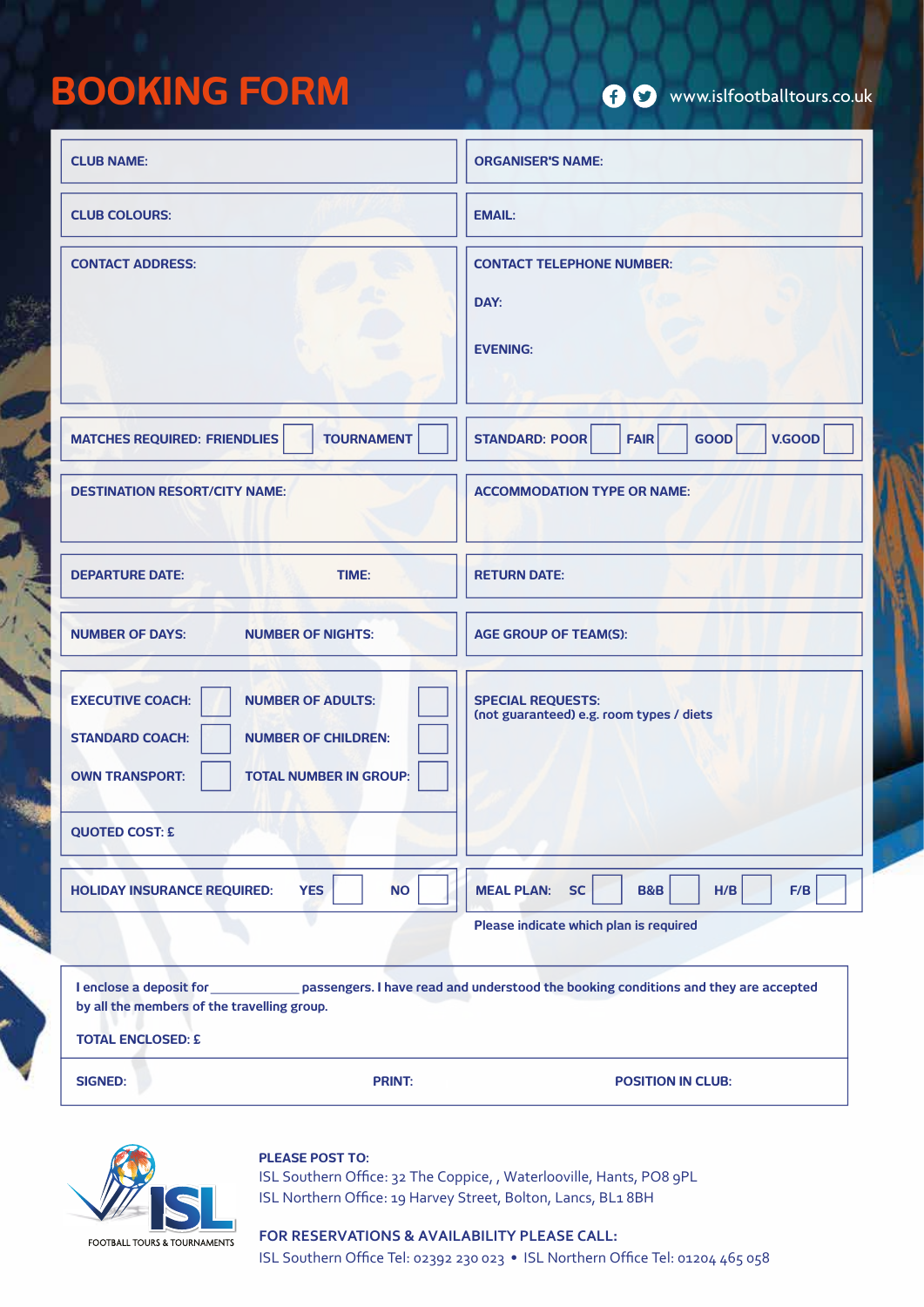# **BOOKING FORM**

7

| <b>CLUB NAME:</b>                                                                                                                                                                             | <b>ORGANISER'S NAME:</b>                                             |
|-----------------------------------------------------------------------------------------------------------------------------------------------------------------------------------------------|----------------------------------------------------------------------|
| <b>CLUB COLOURS:</b>                                                                                                                                                                          | <b>EMAIL:</b>                                                        |
| <b>CONTACT ADDRESS:</b>                                                                                                                                                                       | <b>CONTACT TELEPHONE NUMBER:</b><br>DAY:<br><b>EVENING:</b>          |
| <b>TOURNAMENT</b><br><b>MATCHES REQUIRED: FRIENDLIES</b>                                                                                                                                      | V.GOOD<br><b>STANDARD: POOR</b><br><b>FAIR</b><br>GOOD               |
| <b>DESTINATION RESORT/CITY NAME:</b>                                                                                                                                                          | <b>ACCOMMODATION TYPE OR NAME:</b>                                   |
| <b>DEPARTURE DATE:</b><br>TIME:                                                                                                                                                               | <b>RETURN DATE:</b>                                                  |
| <b>NUMBER OF DAYS:</b><br><b>NUMBER OF NIGHTS:</b>                                                                                                                                            | <b>AGE GROUP OF TEAM(S):</b>                                         |
| <b>EXECUTIVE COACH:</b><br><b>NUMBER OF ADULTS:</b><br><b>STANDARD COACH:</b><br><b>NUMBER OF CHILDREN:</b><br><b>OWN TRANSPORT:</b><br><b>TOTAL NUMBER IN GROUP:</b>                         | <b>SPECIAL REQUESTS:</b><br>(not guaranteed) e.g. room types / diets |
| <b>QUOTED COST: £</b>                                                                                                                                                                         |                                                                      |
| <b>YES</b><br><b>NO</b><br><b>HOLIDAY INSURANCE REQUIRED:</b>                                                                                                                                 | <b>MEAL PLAN:</b><br><b>SC</b><br><b>B&amp;B</b><br>H/B<br>F/B       |
|                                                                                                                                                                                               | Please indicate which plan is required                               |
| I enclose a deposit for entity passengers. I have read and understood the booking conditions and they are accepted<br>by all the members of the travelling group.<br><b>TOTAL ENCLOSED: £</b> |                                                                      |
| <b>PRINT:</b><br><b>SIGNED:</b>                                                                                                                                                               | <b>POSITION IN CLUB:</b>                                             |



# **PLEASE POST TO:**

ISL Southern Office: 32 The Coppice, , Waterlooville, Hants, PO8 9PL ISL Northern Office: 19 Harvey Street, Bolton, Lancs, BL1 8BH

# **FOR RESERVATIONS & AVAILABILITY PLEASE CALL:**

ISL Southern Office Tel: 02392 230 023 • ISL Northern Office Tel: 01204 465 058